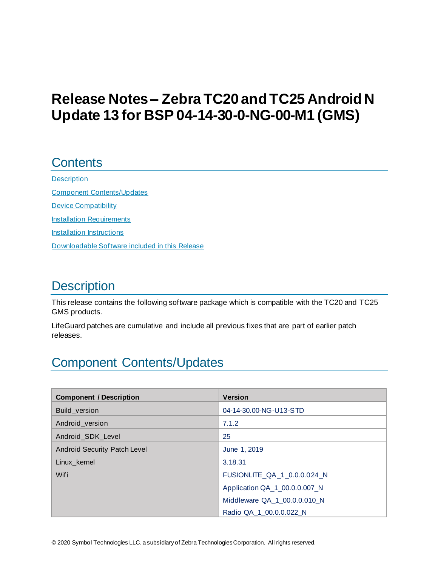# **Release Notes – ZebraTC20 and TC25 Android N Update 13 for BSP 04-14-30-0-NG-00-M1 (GMS)**

## **Contents**

**[Description](#page-0-0)** 

[Component Contents/Updates](#page-0-1) [Device Compatibility](#page-7-0) Installation Requirements [Installation Instructions](#page-9-0) [Downloadable Software included in this Release](#page-11-0) 

# <span id="page-0-0"></span>**Description**

This release contains the following software package which is compatible with the TC20 and TC25 GMS products.

LifeGuard patches are cumulative and include all previous fixes that are part of earlier patch releases.

# <span id="page-0-1"></span>Component Contents/Updates

| <b>Component / Description</b> | <b>Version</b>                |
|--------------------------------|-------------------------------|
| Build version                  | 04-14-30.00-NG-U13-STD        |
| Android version                | 7.1.2                         |
| Android SDK Level              | 25                            |
| Android Security Patch Level   | June 1, 2019                  |
| Linux kernel                   | 3.18.31                       |
| Wifi                           | FUSIONLITE QA 1 0.0.0.024 N   |
|                                | Application QA_1_00.0.0.007_N |
|                                | Middleware QA 1 00.0.0.010 N  |
|                                | Radio QA_1_00.0.0.022 N       |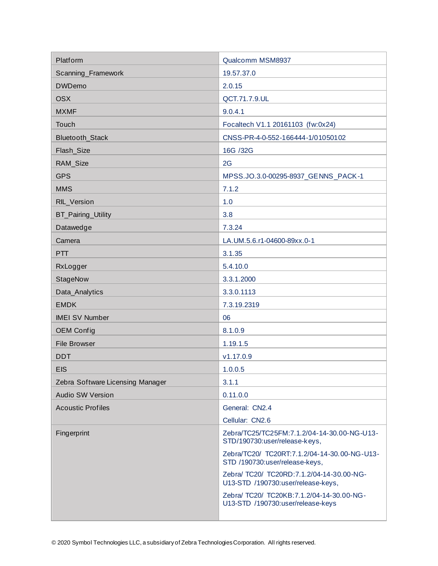| Platform                         | Qualcomm MSM8937                                                                |
|----------------------------------|---------------------------------------------------------------------------------|
| Scanning_Framework               | 19.57.37.0                                                                      |
| <b>DWDemo</b>                    | 2.0.15                                                                          |
| <b>OSX</b>                       | QCT.71.7.9.UL                                                                   |
| <b>MXMF</b>                      | 9.0.4.1                                                                         |
| Touch                            | Focaltech V1.1 20161103 (fw:0x24)                                               |
| Bluetooth_Stack                  | CNSS-PR-4-0-552-166444-1/01050102                                               |
| Flash_Size                       | 16G /32G                                                                        |
| RAM_Size                         | 2G                                                                              |
| <b>GPS</b>                       | MPSS.JO.3.0-00295-8937_GENNS_PACK-1                                             |
| <b>MMS</b>                       | 7.1.2                                                                           |
| RIL_Version                      | 1.0                                                                             |
| BT_Pairing_Utility               | 3.8                                                                             |
| Datawedge                        | 7.3.24                                                                          |
| Camera                           | LA.UM.5.6.r1-04600-89xx.0-1                                                     |
| <b>PTT</b>                       | 3.1.35                                                                          |
| RxLogger                         | 5.4.10.0                                                                        |
| StageNow                         | 3.3.1.2000                                                                      |
| Data_Analytics                   | 3.3.0.1113                                                                      |
| <b>EMDK</b>                      | 7.3.19.2319                                                                     |
| <b>IMEI SV Number</b>            | 06                                                                              |
| <b>OEM Config</b>                | 8.1.0.9                                                                         |
| <b>File Browser</b>              | 1.19.1.5                                                                        |
| <b>DDT</b>                       | v1.17.0.9                                                                       |
| <b>EIS</b>                       | 1.0.0.5                                                                         |
| Zebra Software Licensing Manager | 3.1.1                                                                           |
| <b>Audio SW Version</b>          | 0.11.0.0                                                                        |
| <b>Acoustic Profiles</b>         | General: CN2.4                                                                  |
|                                  | Cellular: CN2.6                                                                 |
| Fingerprint                      | Zebra/TC25/TC25FM:7.1.2/04-14-30.00-NG-U13-<br>STD/190730:user/release-keys,    |
|                                  | Zebra/TC20/ TC20RT:7.1.2/04-14-30.00-NG-U13-<br>STD /190730:user/release-keys,  |
|                                  | Zebra/ TC20/ TC20RD:7.1.2/04-14-30.00-NG-<br>U13-STD /190730:user/release-keys, |
|                                  | Zebra/ TC20/ TC20KB:7.1.2/04-14-30.00-NG-<br>U13-STD /190730:user/release-keys  |
|                                  |                                                                                 |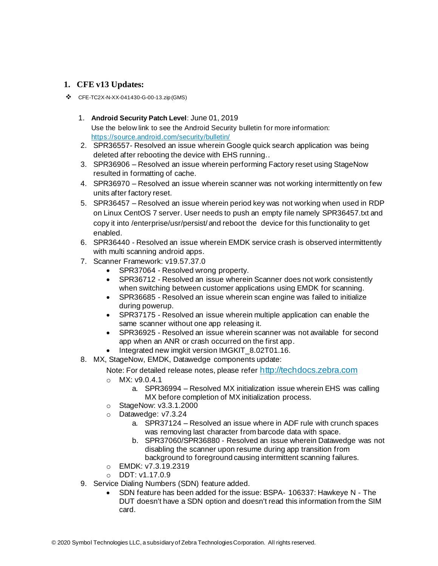#### **1. CFE v13 Updates:**

- ❖ CFE-TC2X-N-XX-041430-G-00-13.zip (GMS)
	- 1. **Android Security Patch Level**: June 01, 2019 Use the below link to see the Android Security bulletin for more information: <https://source.android.com/security/bulletin/>
	- 2. SPR36557- Resolved an issue wherein Google quick search application was being deleted after rebooting the device with EHS running..
	- 3. SPR36906 Resolved an issue wherein performing Factory reset using StageNow resulted in formatting of cache.
	- 4. SPR36970 Resolved an issue wherein scanner was not working intermittently on few units after factory reset.
	- 5. SPR36457 Resolved an issue wherein period key was not working when used in RDP on Linux CentOS 7 server. User needs to push an empty file namely SPR36457.txt and copy it into /enterprise/usr/persist/ and reboot the device for this functionality to get enabled.
	- 6. SPR36440 Resolved an issue wherein EMDK service crash is observed intermittently with multi scanning android apps.
	- 7. Scanner Framework: v19.57.37.0
		- SPR37064 Resolved wrong property.
		- SPR36712 Resolved an issue wherein Scanner does not work consistently when switching between customer applications using EMDK for scanning.
		- SPR36685 Resolved an issue wherein scan engine was failed to initialize during powerup.
		- SPR37175 Resolved an issue wherein multiple application can enable the same scanner without one app releasing it.
		- SPR36925 Resolved an issue wherein scanner was not available for second app when an ANR or crash occurred on the first app.
		- Integrated new imgkit version IMGKIT\_8.02T01.16.
	- 8. MX, StageNow, EMDK, Datawedge components update:

#### Note: For detailed release notes, please refer [http://techdocs.zebra.com](http://techdocs.zebra.com/)

- o MX: v9.0.4.1
	- a. SPR36994 Resolved MX initialization issue wherein EHS was calling MX before completion of MX initialization process.
- o StageNow: v3.3.1.2000
- o Datawedge: v7.3.24
	- a. SPR37124 Resolved an issue where in ADF rule with crunch spaces was removing last character from barcode data with space.
	- b. SPR37060/SPR36880 Resolved an issue wherein Datawedge was not disabling the scanner upon resume during app transition from background to foreground causing intermittent scanning failures.
- o EMDK: v7.3.19.2319
- o DDT: v1.17.0.9
- 9. Service Dialing Numbers (SDN) feature added.
	- SDN feature has been added for the issue: BSPA- 106337: Hawkeye N The DUT doesn't have a SDN option and doesn't read this information from the SIM card.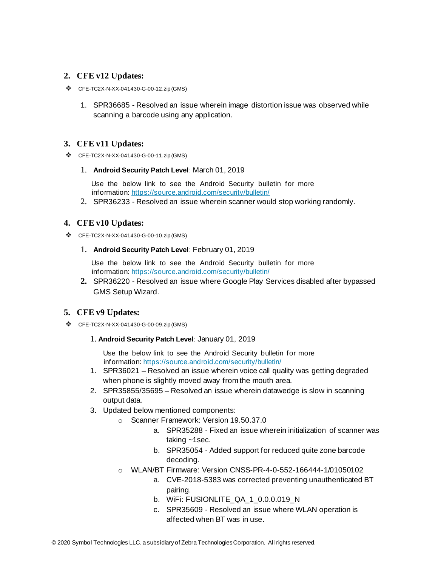#### **2. CFE v12 Updates:**

- ❖ CFE-TC2X-N-XX-041430-G-00-12.zip (GMS)
	- 1. SPR36685 Resolved an issue wherein image distortion issue was observed while scanning a barcode using any application.

#### **3. CFE v11 Updates:**

❖ CFE-TC2X-N-XX-041430-G-00-11.zip (GMS)

#### 1. **Android Security Patch Level**: March 01, 2019

Use the below link to see the Android Security bulletin for more information[: https://source.android.com/security/bulletin/](https://source.android.com/security/bulletin/)

2. SPR36233 - Resolved an issue wherein scanner would stop working randomly.

#### **4. CFE v10 Updates:**

❖ CFE-TC2X-N-XX-041430-G-00-10.zip (GMS)

#### 1. **Android Security Patch Level**: February 01, 2019

Use the below link to see the Android Security bulletin for more information[: https://source.android.com/security/bulletin/](https://source.android.com/security/bulletin/)

**2.** SPR36220 - Resolved an issue where Google Play Services disabled after bypassed GMS Setup Wizard.

#### **5. CFE v9 Updates:**

- ❖ CFE-TC2X-N-XX-041430-G-00-09.zip (GMS)
	- 1. **Android Security Patch Level**: January 01, 2019

Use the below link to see the Android Security bulletin for more information[: https://source.android.com/security/bulletin/](https://source.android.com/security/bulletin/)

- 1. SPR36021 Resolved an issue wherein voice call quality was getting degraded when phone is slightly moved away from the mouth area.
- 2. SPR35855/35695 Resolved an issue wherein datawedge is slow in scanning output data.
- 3. Updated below mentioned components:
	- o Scanner Framework: Version 19.50.37.0
		- a. SPR35288 Fixed an issue wherein initialization of scanner was taking ~1sec.
		- b. SPR35054 Added support for reduced quite zone barcode decoding.
	- o WLAN/BT Firmware: Version CNSS-PR-4-0-552-166444-1/01050102
		- a. CVE-2018-5383 was corrected preventing unauthenticated BT pairing.
		- b. WiFi: FUSIONLITE\_QA\_1\_0.0.0.019\_N
		- c. SPR35609 Resolved an issue where WLAN operation is affected when BT was in use.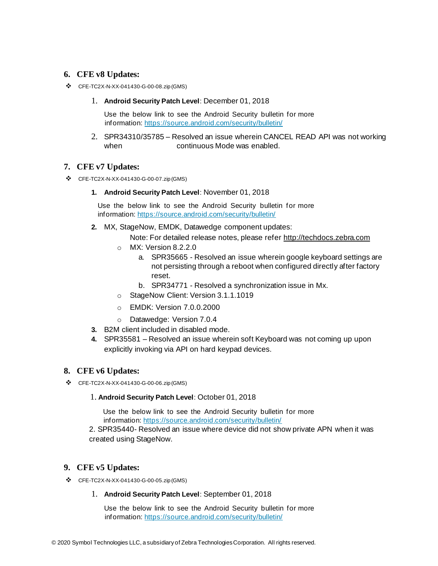#### **6. CFE v8 Updates:**

- ❖ CFE-TC2X-N-XX-041430-G-00-08.zip (GMS)
	- 1. **Android Security Patch Level**: December 01, 2018

Use the below link to see the Android Security bulletin for more information[: https://source.android.com/security/bulletin/](https://source.android.com/security/bulletin/)

2. SPR34310/35785 – Resolved an issue wherein CANCEL READ API was not working when **continuous** Mode was enabled

#### **7. CFE v7 Updates:**

- ❖ CFE-TC2X-N-XX-041430-G-00-07.zip (GMS)
	- **1. Android Security Patch Level**: November 01, 2018

Use the below link to see the Android Security bulletin for more information[: https://source.android.com/security/bulletin/](https://source.android.com/security/bulletin/)

**2.** MX, StageNow, EMDK, Datawedge component updates:

Note: For detailed release notes, please refe[r http://techdocs.zebra.com](http://techdocs.zebra.com/)

- o MX: Version 8.2.2.0
	- a. SPR35665 Resolved an issue wherein google keyboard settings are not persisting through a reboot when configured directly after factory reset.
	- b. SPR34771 Resolved a synchronization issue in Mx.
- o StageNow Client: Version 3.1.1.1019
- o EMDK: Version 7.0.0.2000
- o Datawedge: Version 7.0.4
- **3.** B2M client included in disabled mode.
- **4.** SPR35581 Resolved an issue wherein soft Keyboard was not coming up upon explicitly invoking via API on hard keypad devices.

#### **8. CFE v6 Updates:**

❖ CFE-TC2X-N-XX-041430-G-00-06.zip (GMS)

#### 1. **Android Security Patch Level**: October 01, 2018

Use the below link to see the Android Security bulletin for more information[: https://source.android.com/security/bulletin/](https://source.android.com/security/bulletin/)

2. SPR35440- Resolved an issue where device did not show private APN when it was created using StageNow.

#### **9. CFE v5 Updates:**

- ❖ CFE-TC2X-N-XX-041430-G-00-05.zip (GMS)
	- 1. **Android Security Patch Level**: September 01, 2018

Use the below link to see the Android Security bulletin for more information[: https://source.android.com/security/bulletin/](https://source.android.com/security/bulletin/)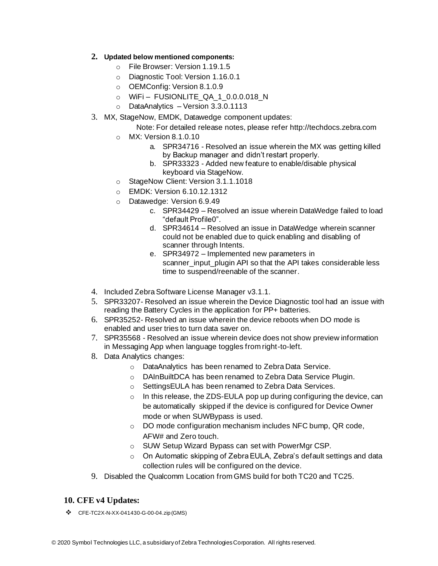#### **2. Updated below mentioned components:**

- o File Browser: Version 1.19.1.5
- o Diagnostic Tool: Version 1.16.0.1
- o OEMConfig: Version 8.1.0.9
- $\circ$  WiFi FUSIONLITE QA 1 0.0.0.018 N
- o DataAnalytics Version 3.3.0.1113
- 3. MX, StageNow, EMDK, Datawedge component updates:
	- Note: For detailed release notes, please refe[r http://techdocs.zebra.com](http://techdocs.zebra.com/)
	- o MX: Version 8.1.0.10
		- a. SPR34716 Resolved an issue wherein the MX was getting killed by Backup manager and didn't restart properly.
		- b. SPR33323 Added new feature to enable/disable physical keyboard via StageNow.
	- o StageNow Client: Version 3.1.1.1018
	- o EMDK: Version 6.10.12.1312
	- o Datawedge: Version 6.9.49
		- c. SPR34429 Resolved an issue wherein DataWedge failed to load "default Profile0".
		- d. SPR34614 Resolved an issue in DataWedge wherein scanner could not be enabled due to quick enabling and disabling of scanner through Intents.
		- e. SPR34972 Implemented new parameters in scanner\_input\_plugin API so that the API takes considerable less time to suspend/reenable of the scanner.
- 4. Included Zebra Software License Manager v3.1.1.
- 5. SPR33207- Resolved an issue wherein the Device Diagnostic tool had an issue with reading the Battery Cycles in the application for PP+ batteries.
- 6. SPR35252- Resolved an issue wherein the device reboots when DO mode is enabled and user tries to turn data saver on.
- 7. SPR35568 Resolved an issue wherein device does not show preview information in Messaging App when language toggles from right-to-left.
- 8. Data Analytics changes:
	- o DataAnalytics has been renamed to Zebra Data Service.
	- o DAInBuiltDCA has been renamed to Zebra Data Service Plugin.
	- o SettingsEULA has been renamed to Zebra Data Services.
	- o In this release, the ZDS-EULA pop up during configuring the device, can be automatically skipped if the device is configured for Device Owner mode or when SUWBypass is used.
	- o DO mode configuration mechanism includes NFC bump, QR code, AFW# and Zero touch.
	- o SUW Setup Wizard Bypass can set with PowerMgr CSP.
	- o On Automatic skipping of Zebra EULA, Zebra's default settings and data collection rules will be configured on the device.
- 9. Disabled the Qualcomm Location from GMS build for both TC20 and TC25.

#### **10. CFE v4 Updates:**

❖ CFE-TC2X-N-XX-041430-G-00-04.zip (GMS)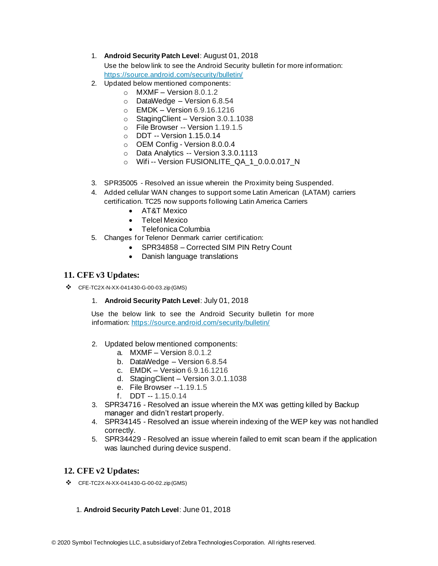- 1. **Android Security Patch Level**: August 01, 2018 Use the below link to see the Android Security bulletin for more information: <https://source.android.com/security/bulletin/>
- 2. Updated below mentioned components:
	- $\circ$  MXMF Version 8.0.1.2
	- o DataWedge Version 6.8.54
	- o EMDK Version 6.9.16.1216
	- o StagingClient Version 3.0.1.1038
	- o File Browser -- Version 1.19.1.5
	- o DDT -- Version 1.15.0.14
	- o OEM Config Version 8.0.0.4
	- o Data Analytics -- Version 3.3.0.1113
	- o Wifi -- Version FUSIONLITE\_QA\_1\_0.0.0.017\_N
- 3. SPR35005 Resolved an issue wherein the Proximity being Suspended.
- 4. Added cellular WAN changes to support some Latin American (LATAM) carriers certification. TC25 now supports following Latin America Carriers
	- AT&T Mexico
	- Telcel Mexico
	- Telefonica Columbia
- 5. Changes for Telenor Denmark carrier certification:
	- SPR34858 Corrected SIM PIN Retry Count
	- Danish language translations

#### **11. CFE v3 Updates:**

- ❖ CFE-TC2X-N-XX-041430-G-00-03.zip (GMS)
	- 1. **Android Security Patch Level**: July 01, 2018

Use the below link to see the Android Security bulletin for more information[: https://source.android.com/security/bulletin/](https://source.android.com/security/bulletin/)

- 2. Updated below mentioned components:
	- a. MXMF Version 8.0.1.2
	- b. DataWedge Version 6.8.54
	- c. EMDK Version 6.9.16.1216
	- d. StagingClient Version 3.0.1.1038
	- e. File Browser --1.19.1.5
	- f. DDT -- 1.15.0.14
- 3. SPR34716 Resolved an issue wherein the MX was getting killed by Backup manager and didn't restart properly.
- 4. SPR34145 Resolved an issue wherein indexing of the WEP key was not handled correctly.
- 5. SPR34429 Resolved an issue wherein failed to emit scan beam if the application was launched during device suspend.

#### **12. CFE v2 Updates:**

- ❖ CFE-TC2X-N-XX-041430-G-00-02.zip (GMS)
	- 1. **Android Security Patch Level**: June 01, 2018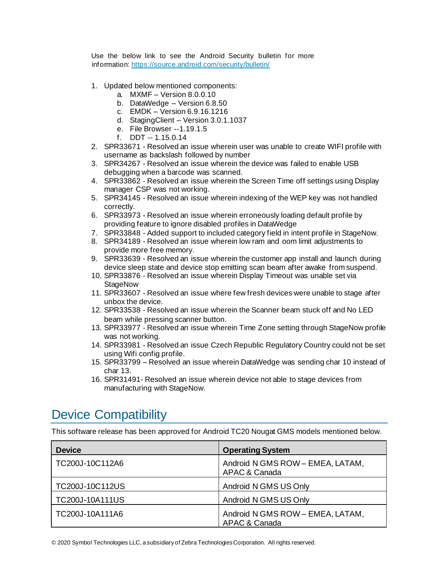Use the below link to see the Android Security bulletin for more information[: https://source.android.com/security/bulletin/](https://source.android.com/security/bulletin/)

- 1. Updated below mentioned components:
	- a. MXMF Version 8.0.0.10
	- b. DataWedge Version 6.8.50
	- c. EMDK Version 6.9.16.1216
	- d. StagingClient Version 3.0.1.1037
	- e. File Browser --1.19.1.5
	- f. DDT -- 1.15.0.14
- 2. SPR33671 Resolved an issue wherein user was unable to create WIFI profile with username as backslash followed by number
- 3. SPR34267 Resolved an issue wherein the device was failed to enable USB debugging when a barcode was scanned.
- 4. SPR33862 Resolved an issue wherein the Screen Time off settings using Display manager CSP was not working.
- 5. SPR34145 Resolved an issue wherein indexing of the WEP key was not handled correctly.
- 6. SPR33973 Resolved an issue wherein erroneously loading default profile by providing feature to ignore disabled profiles in DataWedge
- 7. SPR33848 Added support to included category field in intent profile in StageNow.
- 8. SPR34189 Resolved an issue wherein low ram and oom limit adjustments to provide more free memory.
- 9. SPR33639 Resolved an issue wherein the customer app install and launch during device sleep state and device stop emitting scan beam after awake from suspend.
- 10. SPR33876 Resolved an issue wherein Display Timeout was unable set via **StageNow**
- 11. SPR33607 Resolved an issue where few fresh devices were unable to stage after unbox the device.
- 12. SPR33538 Resolved an issue wherein the Scanner beam stuck off and No LED beam while pressing scanner button.
- 13. SPR33977 Resolved an issue wherein Time Zone setting through StageNow profile was not working.
- 14. SPR33981 Resolved an issue Czech Republic Regulatory Country could not be set using Wifi config profile.
- 15. SPR33799 Resolved an issue wherein DataWedge was sending char 10 instead of char 13.
- 16. SPR31491- Resolved an issue wherein device not able to stage devices from manufacturing with StageNow.

## <span id="page-7-0"></span>Device Compatibility

This software release has been approved for Android TC20 Nougat GMS models mentioned below.

| <b>Device</b>          | <b>Operating System</b>                           |
|------------------------|---------------------------------------------------|
| TC200J-10C112A6        | Android N GMS ROW - EMEA, LATAM,<br>APAC & Canada |
| TC200J-10C112US        | Android N GMS US Only                             |
| <b>TC200J-10A111US</b> | Android N GMS US Only                             |
| TC200J-10A111A6        | Android N GMS ROW - EMEA, LATAM,<br>APAC & Canada |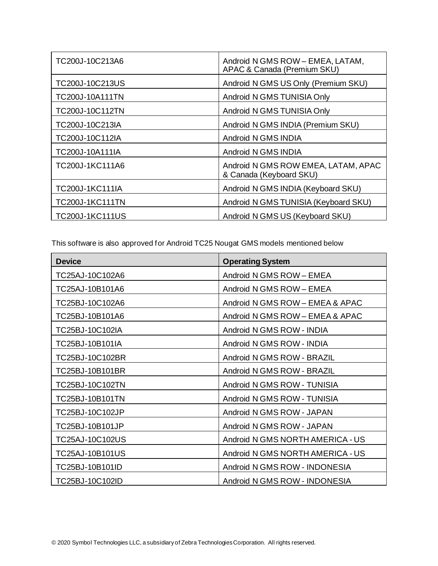| TC200J-10C213A6        | Android N GMS ROW - EMEA, LATAM,<br>APAC & Canada (Premium SKU) |
|------------------------|-----------------------------------------------------------------|
| TC200J-10C213US        | Android N GMS US Only (Premium SKU)                             |
| TC200J-10A111TN        | Android N GMS TUNISIA Only                                      |
| TC200J-10C112TN        | Android N GMS TUNISIA Only                                      |
| TC200J-10C213IA        | Android N GMS INDIA (Premium SKU)                               |
| TC200J-10C112IA        | Android N GMS INDIA                                             |
| TC200J-10A111IA        | Android N GMS INDIA                                             |
| TC200J-1KC111A6        | Android N GMS ROW EMEA, LATAM, APAC<br>& Canada (Keyboard SKU)  |
| <b>TC200J-1KC111IA</b> | Android N GMS INDIA (Keyboard SKU)                              |
| <b>TC200J-1KC111TN</b> | Android N GMS TUNISIA (Keyboard SKU)                            |
| TC200J-1KC111US        | Android N GMS US (Keyboard SKU)                                 |

This software is also approved for Android TC25 Nougat GMS models mentioned below

| <b>Device</b>   | <b>Operating System</b>          |
|-----------------|----------------------------------|
| TC25AJ-10C102A6 | Android N GMS ROW - EMEA         |
| TC25AJ-10B101A6 | Android N GMS ROW - EMEA         |
| TC25BJ-10C102A6 | Android N GMS ROW - EMEA & APAC  |
| TC25BJ-10B101A6 | Android N GMS ROW - EMEA & APAC  |
| TC25BJ-10C102IA | Android N GMS ROW - INDIA        |
| TC25BJ-10B101IA | Android N GMS ROW - INDIA        |
| TC25BJ-10C102BR | Android N GMS ROW - BRAZIL       |
| TC25BJ-10B101BR | Android N GMS ROW - BRAZIL       |
| TC25BJ-10C102TN | Android N GMS ROW - TUNISIA      |
| TC25BJ-10B101TN | Android N GMS ROW - TUNISIA      |
| TC25BJ-10C102JP | Android N GMS ROW - JAPAN        |
| TC25BJ-10B101JP | Android N GMS ROW - JAPAN        |
| TC25AJ-10C102US | Android N GMS NORTH AMERICA - US |
| TC25AJ-10B101US | Android N GMS NORTH AMERICA - US |
| TC25BJ-10B101ID | Android N GMS ROW - INDONESIA    |
| TC25BJ-10C102ID | Android N GMS ROW - INDONESIA    |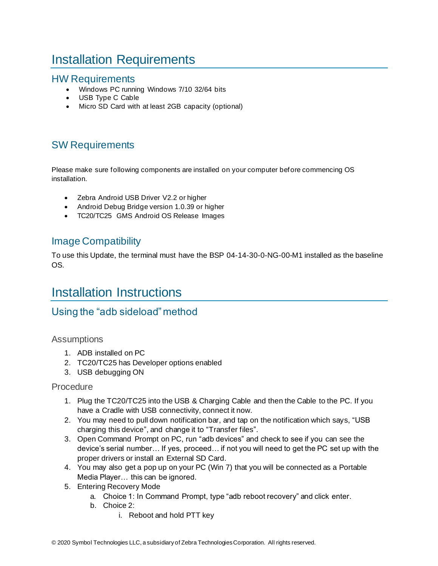# Installation Requirements

### HW Requirements

- Windows PC running Windows 7/10 32/64 bits
- USB Type C Cable
- Micro SD Card with at least 2GB capacity (optional)

## SW Requirements

Please make sure following components are installed on your computer before commencing OS installation.

- Zebra Android USB Driver V2.2 or higher
- Android Debug Bridge version 1.0.39 or higher
- TC20/TC25 GMS Android OS Release Images

### Image Compatibility

To use this Update, the terminal must have the BSP 04-14-30-0-NG-00-M1 installed as the baseline OS.

## <span id="page-9-0"></span>Installation Instructions

### Using the "adb sideload" method

#### **Assumptions**

- 1. ADB installed on PC
- 2. TC20/TC25 has Developer options enabled
- 3. USB debugging ON

#### Procedure

- 1. Plug the TC20/TC25 into the USB & Charging Cable and then the Cable to the PC. If you have a Cradle with USB connectivity, connect it now.
- 2. You may need to pull down notification bar, and tap on the notification which says, "USB charging this device", and change it to "Transfer files".
- 3. Open Command Prompt on PC, run "adb devices" and check to see if you can see the device's serial number… If yes, proceed… if not you will need to get the PC set up with the proper drivers or install an External SD Card.
- 4. You may also get a pop up on your PC (Win 7) that you will be connected as a Portable Media Player… this can be ignored.
- 5. Entering Recovery Mode
	- a. Choice 1: In Command Prompt, type "adb reboot recovery" and click enter.
	- b. Choice 2:
		- i. Reboot and hold PTT key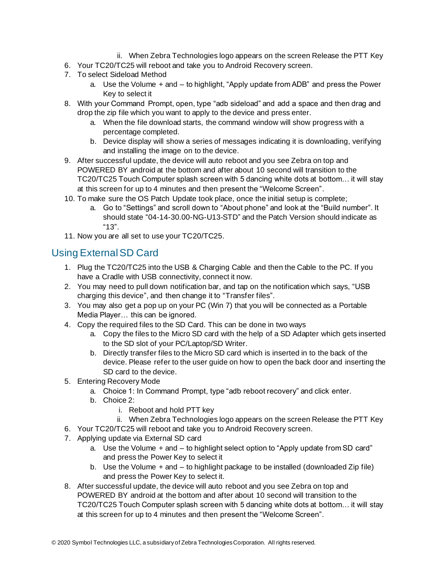- ii. When Zebra Technologies logo appears on the screen Release the PTT Key
- 6. Your TC20/TC25 will reboot and take you to Android Recovery screen.
- 7. To select Sideload Method
	- a. Use the Volume + and to highlight, "Apply update from ADB" and press the Power Key to select it
- 8. With your Command Prompt, open, type "adb sideload" and add a space and then drag and drop the zip file which you want to apply to the device and press enter.
	- a. When the file download starts, the command window will show progress with a percentage completed.
	- b. Device display will show a series of messages indicating it is downloading, verifying and installing the image on to the device.
- 9. After successful update, the device will auto reboot and you see Zebra on top and POWERED BY android at the bottom and after about 10 second will transition to the TC20/TC25 Touch Computer splash screen with 5 dancing white dots at bottom… it will stay at this screen for up to 4 minutes and then present the "Welcome Screen".
- 10. To make sure the OS Patch Update took place, once the initial setup is complete;
	- a. Go to "Settings" and scroll down to "About phone" and look at the "Build number". It should state "04-14-30.00-NG-U13-STD" and the Patch Version should indicate as "13".
- 11. Now you are all set to use your TC20/TC25.

## Using External SD Card

- 1. Plug the TC20/TC25 into the USB & Charging Cable and then the Cable to the PC. If you have a Cradle with USB connectivity, connect it now.
- 2. You may need to pull down notification bar, and tap on the notification which says, "USB charging this device", and then change it to "Transfer files".
- 3. You may also get a pop up on your PC (Win 7) that you will be connected as a Portable Media Player… this can be ignored.
- 4. Copy the required files to the SD Card. This can be done in two ways
	- a. Copy the files to the Micro SD card with the help of a SD Adapter which gets inserted to the SD slot of your PC/Laptop/SD Writer.
	- b. Directly transfer files to the Micro SD card which is inserted in to the back of the device. Please refer to the user guide on how to open the back door and inserting the SD card to the device.
- 5. Entering Recovery Mode
	- a. Choice 1: In Command Prompt, type "adb reboot recovery" and click enter.
	- b. Choice 2:
		- i. Reboot and hold PTT key
		- ii. When Zebra Technologies logo appears on the screen Release the PTT Key
- 6. Your TC20/TC25 will reboot and take you to Android Recovery screen.
- 7. Applying update via External SD card
	- a. Use the Volume + and to highlight select option to "Apply update from SD card" and press the Power Key to select it
	- b. Use the Volume + and to highlight package to be installed (downloaded Zip file) and press the Power Key to select it.
- 8. After successful update, the device will auto reboot and you see Zebra on top and POWERED BY android at the bottom and after about 10 second will transition to the TC20/TC25 Touch Computer splash screen with 5 dancing white dots at bottom… it will stay at this screen for up to 4 minutes and then present the "Welcome Screen".